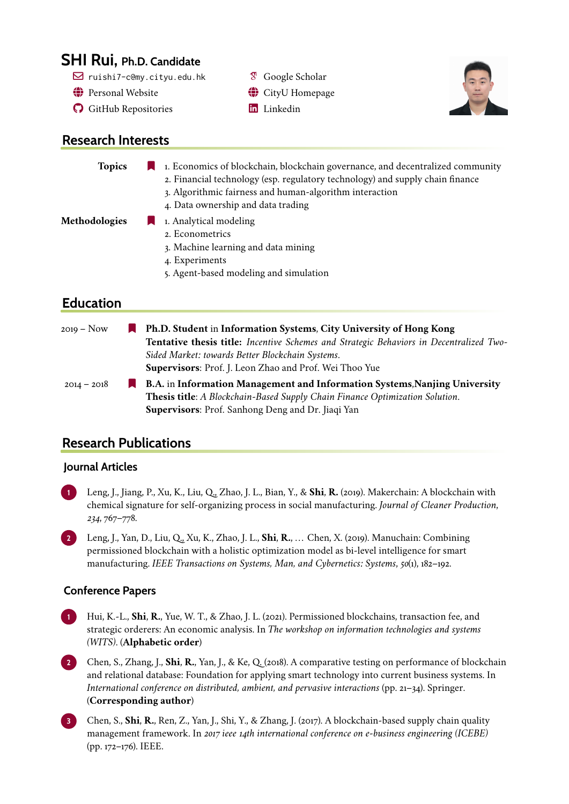# **SHI Rui, Ph.D. Candidate**

- $\boxtimes$  ruishi7-c@my.cityu.edu.hk  $\boxtimes$  [Google Scholar](https://scholar.google.com/citations?user=WBbSDdcAAAAJ&hl=en)
- $\bigoplus$  [Personal Website](http://www.funshare.site/)  $\bigoplus$  [CityU Homepage](https://scholars.cityu.edu.hk/en/persons/rui-shi(6401ad24-21c1-4dc8-8a6c-4977be999565).html)
- **a** [GitHub Repositories](https://github.com/WaterSh) **a** [Linkedin](https://hk.linkedin.com/in/rui-shi-3025b7120)

## **Research Interests**

#### **Topics** 1. Economics of blockchain, blockchain governance, and decentralized community 2. Financial technology (esp. regulatory technology) and supply chain finance

- 3. Algorithmic fairness and human-algorithm interaction
- 4. Data ownership and data trading

## **Methodologies** 1. Analytical modeling

- 2. Econometrics
- 3. Machine learning and data mining
- 4. Experiments
- 5. Agent-based modeling and simulation

## **Education**

| 2019 – Now    | <b>Ph.D. Student in Information Systems, City University of Hong Kong</b>                      |
|---------------|------------------------------------------------------------------------------------------------|
|               | <b>Tentative thesis title:</b> Incentive Schemes and Strategic Behaviors in Decentralized Two- |
|               | Sided Market: towards Better Blockchain Systems.                                               |
|               | Supervisors: Prof. J. Leon Zhao and Prof. Wei Thoo Yue                                         |
| $2014 - 2018$ | <b>R.A.</b> in Information Management and Information Systems, Nanjing University              |

**Thesis title**: *A Blockchain-Based Supply Chain Finance Optimization Solution*. **Supervisors**: Prof. Sanhong Deng and Dr. Jiaqi Yan

# **Research Publications**

## **Journal Articles**

**1** Leng, J., Jiang, P., Xu, K., Liu, Q., Zhao, J. L., Bian, Y., & **Shi**, **R.** (2019). Makerchain: A blockchain with chemical signature for self-organizing process in social manufacturing. *Journal of Cleaner Production*, *234*, 767–778.

**2** Leng, J., Yan, D., Liu, Q., Xu, K., Zhao, J. L., **Shi**, **R.**, . . . Chen, X. (2019). Manuchain: Combining permissioned blockchain with a holistic optimization model as bi-level intelligence for smart manufacturing. *IEEE Transactions on Systems, Man, and Cybernetics: Systems*, *50*(1), 182–192.

## **Conference Papers**

**1** Hui, K.-L., **Shi**, **R.**, Yue, W. T., & Zhao, J. L. (2021). Permissioned blockchains, transaction fee, and strategic orderers: An economic analysis. In *The workshop on information technologies and systems (WITS)*. (**Alphabetic order**)

**2** Chen, S., Zhang, J., **Shi**, **R.**, Yan, J., & Ke, Q. (2018). A comparative testing on performance of blockchain and relational database: Foundation for applying smart technology into current business systems. In *International conference on distributed, ambient, and pervasive interactions* (pp. 21–34). Springer. (**Corresponding author**)

**3** Chen, S., **Shi**, **R.**, Ren, Z., Yan, J., Shi, Y., & Zhang, J. (2017). A blockchain-based supply chain quality management framework. In *2017 ieee 14th international conference on e-business engineering (ICEBE)* (pp. 172–176). IEEE.